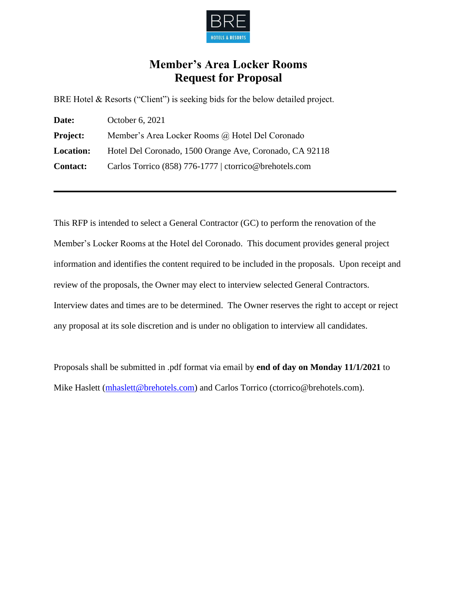

# **Member's Area Locker Rooms Request for Proposal**

BRE Hotel & Resorts ("Client") is seeking bids for the below detailed project.

| Date:            | October 6, 2021                                         |
|------------------|---------------------------------------------------------|
| <b>Project:</b>  | Member's Area Locker Rooms @ Hotel Del Coronado         |
| <b>Location:</b> | Hotel Del Coronado, 1500 Orange Ave, Coronado, CA 92118 |
| <b>Contact:</b>  | Carlos Torrico (858) 776-1777   ctorrico@brehotels.com  |

This RFP is intended to select a General Contractor (GC) to perform the renovation of the Member's Locker Rooms at the Hotel del Coronado. This document provides general project information and identifies the content required to be included in the proposals. Upon receipt and review of the proposals, the Owner may elect to interview selected General Contractors. Interview dates and times are to be determined. The Owner reserves the right to accept or reject any proposal at its sole discretion and is under no obligation to interview all candidates.

Proposals shall be submitted in .pdf format via email by **end of day on Monday 11/1/2021** to Mike Haslett [\(mhaslett@brehotels.com\)](mailto:mhaslett@brehotels.com) and Carlos Torrico (ctorrico@brehotels.com).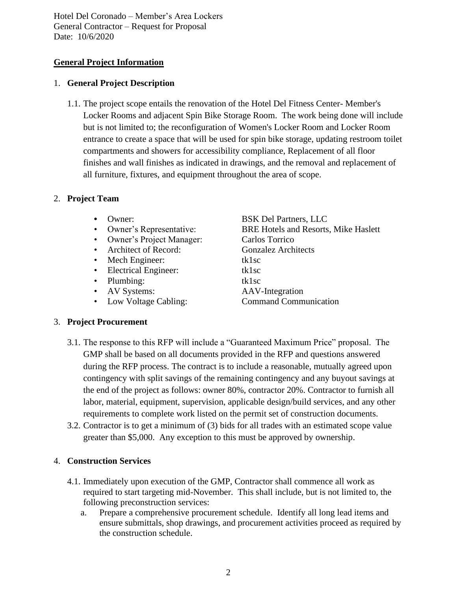# **General Project Information**

## 1. **General Project Description**

1.1. The project scope entails the renovation of the Hotel Del Fitness Center- Member's Locker Rooms and adjacent Spin Bike Storage Room. The work being done will include but is not limited to; the reconfiguration of Women's Locker Room and Locker Room entrance to create a space that will be used for spin bike storage, updating restroom toilet compartments and showers for accessibility compliance, Replacement of all floor finishes and wall finishes as indicated in drawings, and the removal and replacement of all furniture, fixtures, and equipment throughout the area of scope.

# 2. **Project Team**

- 
- 
- Owner's Project Manager: Carlos Torrico
- Architect of Record: Gonzalez Architects
- Mech Engineer: tk1sc
- Electrical Engineer: tk1sc
- Plumbing: tk1sc
- AV Systems: AAV-Integration
- 

**•** Owner: BSK Del Partners, LLC • Owner's Representative: BRE Hotels and Resorts, Mike Haslett • Low Voltage Cabling: Command Communication

## 3. **Project Procurement**

- 3.1. The response to this RFP will include a "Guaranteed Maximum Price" proposal. The GMP shall be based on all documents provided in the RFP and questions answered during the RFP process. The contract is to include a reasonable, mutually agreed upon contingency with split savings of the remaining contingency and any buyout savings at the end of the project as follows: owner 80%, contractor 20%. Contractor to furnish all labor, material, equipment, supervision, applicable design/build services, and any other requirements to complete work listed on the permit set of construction documents.
- 3.2. Contractor is to get a minimum of (3) bids for all trades with an estimated scope value greater than \$5,000. Any exception to this must be approved by ownership.

# 4. **Construction Services**

- 4.1. Immediately upon execution of the GMP, Contractor shall commence all work as required to start targeting mid-November. This shall include, but is not limited to, the following preconstruction services:
	- a. Prepare a comprehensive procurement schedule. Identify all long lead items and ensure submittals, shop drawings, and procurement activities proceed as required by the construction schedule.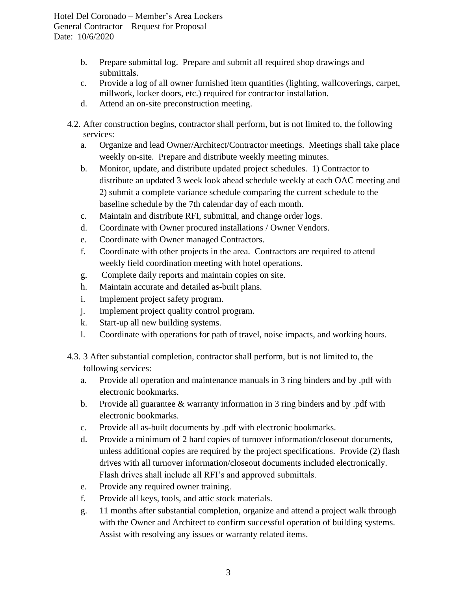- b. Prepare submittal log. Prepare and submit all required shop drawings and submittals.
- c. Provide a log of all owner furnished item quantities (lighting, wallcoverings, carpet, millwork, locker doors, etc.) required for contractor installation.
- d. Attend an on-site preconstruction meeting.
- 4.2. After construction begins, contractor shall perform, but is not limited to, the following services:
	- a. Organize and lead Owner/Architect/Contractor meetings. Meetings shall take place weekly on-site. Prepare and distribute weekly meeting minutes.
	- b. Monitor, update, and distribute updated project schedules. 1) Contractor to distribute an updated 3 week look ahead schedule weekly at each OAC meeting and 2) submit a complete variance schedule comparing the current schedule to the baseline schedule by the 7th calendar day of each month.
	- c. Maintain and distribute RFI, submittal, and change order logs.
	- d. Coordinate with Owner procured installations / Owner Vendors.
	- e. Coordinate with Owner managed Contractors.
	- f. Coordinate with other projects in the area. Contractors are required to attend weekly field coordination meeting with hotel operations.
	- g. Complete daily reports and maintain copies on site.
	- h. Maintain accurate and detailed as-built plans.
	- i. Implement project safety program.
	- j. Implement project quality control program.
	- k. Start-up all new building systems.
	- l. Coordinate with operations for path of travel, noise impacts, and working hours.
- 4.3. 3 After substantial completion, contractor shall perform, but is not limited to, the following services:
	- a. Provide all operation and maintenance manuals in 3 ring binders and by .pdf with electronic bookmarks.
	- b. Provide all guarantee & warranty information in 3 ring binders and by .pdf with electronic bookmarks.
	- c. Provide all as-built documents by .pdf with electronic bookmarks.
	- d. Provide a minimum of 2 hard copies of turnover information/closeout documents, unless additional copies are required by the project specifications. Provide (2) flash drives with all turnover information/closeout documents included electronically. Flash drives shall include all RFI's and approved submittals.
	- e. Provide any required owner training.
	- f. Provide all keys, tools, and attic stock materials.
	- g. 11 months after substantial completion, organize and attend a project walk through with the Owner and Architect to confirm successful operation of building systems. Assist with resolving any issues or warranty related items.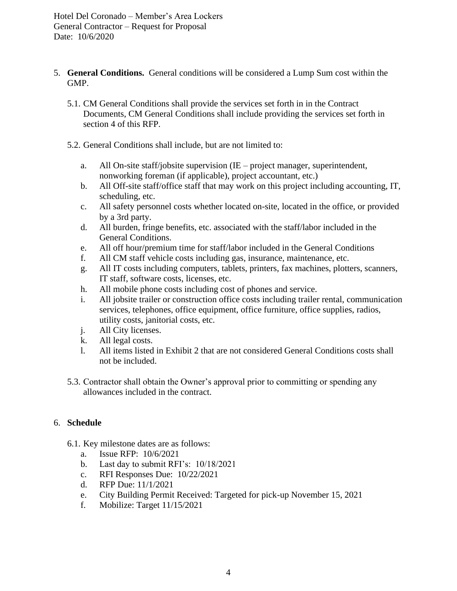- 5. **General Conditions.** General conditions will be considered a Lump Sum cost within the GMP.
	- 5.1. CM General Conditions shall provide the services set forth in in the Contract Documents, CM General Conditions shall include providing the services set forth in section 4 of this RFP.
	- 5.2. General Conditions shall include, but are not limited to:
		- a. All On-site staff/jobsite supervision (IE project manager, superintendent, nonworking foreman (if applicable), project accountant, etc.)
		- b. All Off-site staff/office staff that may work on this project including accounting, IT, scheduling, etc.
		- c. All safety personnel costs whether located on-site, located in the office, or provided by a 3rd party.
		- d. All burden, fringe benefits, etc. associated with the staff/labor included in the General Conditions.
		- e. All off hour/premium time for staff/labor included in the General Conditions
		- f. All CM staff vehicle costs including gas, insurance, maintenance, etc.
		- g. All IT costs including computers, tablets, printers, fax machines, plotters, scanners, IT staff, software costs, licenses, etc.
		- h. All mobile phone costs including cost of phones and service.
		- i. All jobsite trailer or construction office costs including trailer rental, communication services, telephones, office equipment, office furniture, office supplies, radios, utility costs, janitorial costs, etc.
		- j. All City licenses.
		- k. All legal costs.
		- l. All items listed in Exhibit 2 that are not considered General Conditions costs shall not be included.
	- 5.3. Contractor shall obtain the Owner's approval prior to committing or spending any allowances included in the contract.

# 6. **Schedule**

- 6.1. Key milestone dates are as follows:
	- a. Issue RFP: 10/6/2021
	- b. Last day to submit RFI's: 10/18/2021
	- c. RFI Responses Due: 10/22/2021
	- d. RFP Due: 11/1/2021
	- e. City Building Permit Received: Targeted for pick-up November 15, 2021
	- f. Mobilize: Target 11/15/2021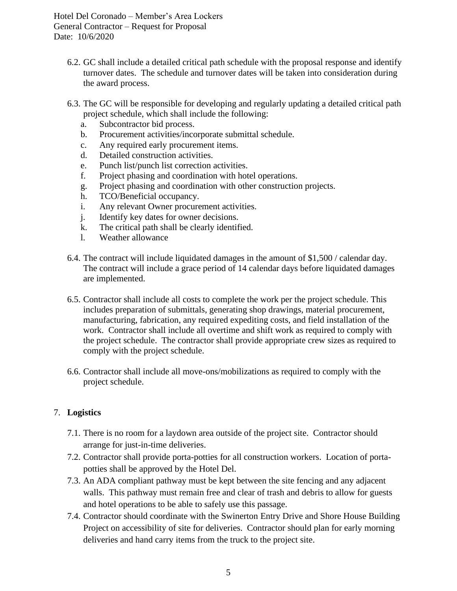- 6.2. GC shall include a detailed critical path schedule with the proposal response and identify turnover dates. The schedule and turnover dates will be taken into consideration during the award process.
- 6.3. The GC will be responsible for developing and regularly updating a detailed critical path project schedule, which shall include the following:
	- a. Subcontractor bid process.
	- b. Procurement activities/incorporate submittal schedule.
	- c. Any required early procurement items.
	- d. Detailed construction activities.
	- e. Punch list/punch list correction activities.
	- f. Project phasing and coordination with hotel operations.
	- g. Project phasing and coordination with other construction projects.
	- h. TCO/Beneficial occupancy.
	- i. Any relevant Owner procurement activities.
	- j. Identify key dates for owner decisions.
	- k. The critical path shall be clearly identified.
	- l. Weather allowance
- 6.4. The contract will include liquidated damages in the amount of \$1,500 / calendar day. The contract will include a grace period of 14 calendar days before liquidated damages are implemented.
- 6.5. Contractor shall include all costs to complete the work per the project schedule. This includes preparation of submittals, generating shop drawings, material procurement, manufacturing, fabrication, any required expediting costs, and field installation of the work. Contractor shall include all overtime and shift work as required to comply with the project schedule. The contractor shall provide appropriate crew sizes as required to comply with the project schedule.
- 6.6. Contractor shall include all move-ons/mobilizations as required to comply with the project schedule.

## 7. **Logistics**

- 7.1. There is no room for a laydown area outside of the project site. Contractor should arrange for just-in-time deliveries.
- 7.2. Contractor shall provide porta-potties for all construction workers. Location of portapotties shall be approved by the Hotel Del.
- 7.3. An ADA compliant pathway must be kept between the site fencing and any adjacent walls. This pathway must remain free and clear of trash and debris to allow for guests and hotel operations to be able to safely use this passage.
- 7.4. Contractor should coordinate with the Swinerton Entry Drive and Shore House Building Project on accessibility of site for deliveries. Contractor should plan for early morning deliveries and hand carry items from the truck to the project site.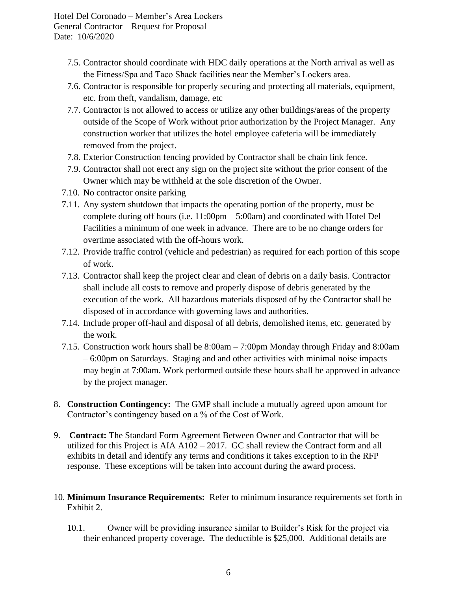- 7.5. Contractor should coordinate with HDC daily operations at the North arrival as well as the Fitness/Spa and Taco Shack facilities near the Member's Lockers area.
- 7.6. Contractor is responsible for properly securing and protecting all materials, equipment, etc. from theft, vandalism, damage, etc
- 7.7. Contractor is not allowed to access or utilize any other buildings/areas of the property outside of the Scope of Work without prior authorization by the Project Manager. Any construction worker that utilizes the hotel employee cafeteria will be immediately removed from the project.
- 7.8. Exterior Construction fencing provided by Contractor shall be chain link fence.
- 7.9. Contractor shall not erect any sign on the project site without the prior consent of the Owner which may be withheld at the sole discretion of the Owner.
- 7.10. No contractor onsite parking
- 7.11. Any system shutdown that impacts the operating portion of the property, must be complete during off hours (i.e. 11:00pm – 5:00am) and coordinated with Hotel Del Facilities a minimum of one week in advance. There are to be no change orders for overtime associated with the off-hours work.
- 7.12. Provide traffic control (vehicle and pedestrian) as required for each portion of this scope of work.
- 7.13. Contractor shall keep the project clear and clean of debris on a daily basis. Contractor shall include all costs to remove and properly dispose of debris generated by the execution of the work. All hazardous materials disposed of by the Contractor shall be disposed of in accordance with governing laws and authorities.
- 7.14. Include proper off-haul and disposal of all debris, demolished items, etc. generated by the work.
- 7.15. Construction work hours shall be 8:00am 7:00pm Monday through Friday and 8:00am – 6:00pm on Saturdays. Staging and and other activities with minimal noise impacts may begin at 7:00am. Work performed outside these hours shall be approved in advance by the project manager.
- 8. **Construction Contingency:** The GMP shall include a mutually agreed upon amount for Contractor's contingency based on a % of the Cost of Work.
- 9. **Contract:** The Standard Form Agreement Between Owner and Contractor that will be utilized for this Project is AIA A102 – 2017. GC shall review the Contract form and all exhibits in detail and identify any terms and conditions it takes exception to in the RFP response. These exceptions will be taken into account during the award process.
- 10. **Minimum Insurance Requirements:** Refer to minimum insurance requirements set forth in Exhibit 2.
	- 10.1. Owner will be providing insurance similar to Builder's Risk for the project via their enhanced property coverage. The deductible is \$25,000. Additional details are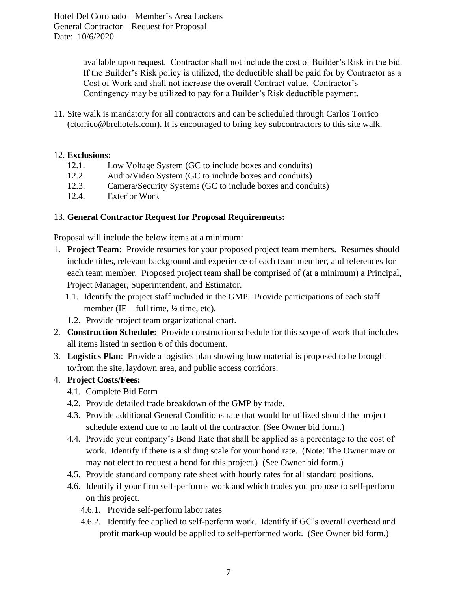> available upon request. Contractor shall not include the cost of Builder's Risk in the bid. If the Builder's Risk policy is utilized, the deductible shall be paid for by Contractor as a Cost of Work and shall not increase the overall Contract value. Contractor's Contingency may be utilized to pay for a Builder's Risk deductible payment.

11. Site walk is mandatory for all contractors and can be scheduled through Carlos Torrico (ctorrico@brehotels.com). It is encouraged to bring key subcontractors to this site walk.

#### 12. **Exclusions:**

- 12.1. Low Voltage System (GC to include boxes and conduits)
- 12.2. Audio/Video System (GC to include boxes and conduits)
- 12.3. Camera/Security Systems (GC to include boxes and conduits)
- 12.4. Exterior Work

#### 13. **General Contractor Request for Proposal Requirements:**

Proposal will include the below items at a minimum:

- 1. **Project Team:** Provide resumes for your proposed project team members. Resumes should include titles, relevant background and experience of each team member, and references for each team member. Proposed project team shall be comprised of (at a minimum) a Principal, Project Manager, Superintendent, and Estimator.
	- 1.1. Identify the project staff included in the GMP. Provide participations of each staff member (IE – full time,  $\frac{1}{2}$  time, etc).
	- 1.2. Provide project team organizational chart.
- 2. **Construction Schedule:** Provide construction schedule for this scope of work that includes all items listed in section 6 of this document.
- 3. **Logistics Plan**: Provide a logistics plan showing how material is proposed to be brought to/from the site, laydown area, and public access corridors.

## 4. **Project Costs/Fees:**

- 4.1. Complete Bid Form
- 4.2. Provide detailed trade breakdown of the GMP by trade.
- 4.3. Provide additional General Conditions rate that would be utilized should the project schedule extend due to no fault of the contractor. (See Owner bid form.)
- 4.4. Provide your company's Bond Rate that shall be applied as a percentage to the cost of work. Identify if there is a sliding scale for your bond rate. (Note: The Owner may or may not elect to request a bond for this project.) (See Owner bid form.)
- 4.5. Provide standard company rate sheet with hourly rates for all standard positions.
- 4.6. Identify if your firm self-performs work and which trades you propose to self-perform on this project.
	- 4.6.1. Provide self-perform labor rates
	- 4.6.2. Identify fee applied to self-perform work. Identify if GC's overall overhead and profit mark-up would be applied to self-performed work. (See Owner bid form.)